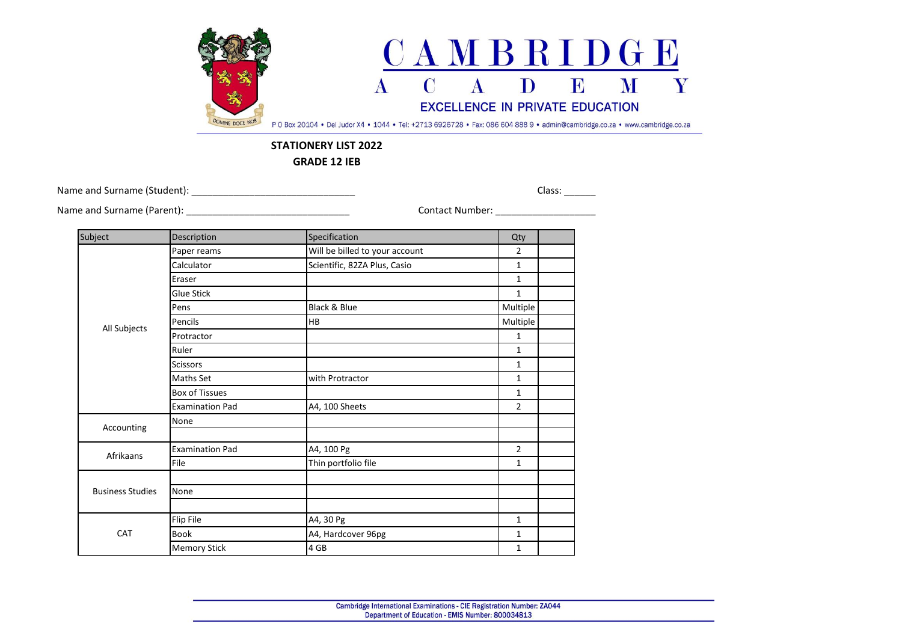

## **STATIONERY LIST 2022**

**GRADE 12 IEB**

Name and Surname (Student): 2002 2012 2022 2023 2024 2022 2023 2024 2022 2023 2024 2022 2023 2022 2023 2024 20

Name and Surname (Parent): \_\_\_\_\_\_\_\_\_\_\_\_\_\_\_\_\_\_\_\_\_\_\_\_\_\_\_\_\_\_\_ Contact Number: \_\_\_\_\_\_\_\_\_\_\_\_\_\_\_\_\_\_\_

| Subject                 | Description            | Specification                  | Qty            |
|-------------------------|------------------------|--------------------------------|----------------|
| All Subjects            | Paper reams            | Will be billed to your account | $\overline{2}$ |
|                         | Calculator             | Scientific, 82ZA Plus, Casio   | 1              |
|                         | Eraser                 |                                | 1              |
|                         | <b>Glue Stick</b>      |                                | $\mathbf{1}$   |
|                         | Pens                   | Black & Blue                   | Multiple       |
|                         | Pencils                | HB                             | Multiple       |
|                         | Protractor             |                                | 1              |
|                         | Ruler                  |                                | $\mathbf{1}$   |
|                         | <b>Scissors</b>        |                                | $\mathbf{1}$   |
|                         | Maths Set              | with Protractor                | 1              |
|                         | <b>Box of Tissues</b>  |                                | 1              |
|                         | <b>Examination Pad</b> | A4, 100 Sheets                 | $\overline{2}$ |
|                         | None                   |                                |                |
| Accounting              |                        |                                |                |
| Afrikaans               | <b>Examination Pad</b> | A4, 100 Pg                     | $\overline{2}$ |
|                         | File                   | Thin portfolio file            | 1              |
| <b>Business Studies</b> |                        |                                |                |
|                         | None                   |                                |                |
|                         |                        |                                |                |
| CAT                     | Flip File              | A4, 30 Pg                      | $\mathbf{1}$   |
|                         | Book                   | A4, Hardcover 96pg             | 1              |
|                         | <b>Memory Stick</b>    | 4 GB                           | 1              |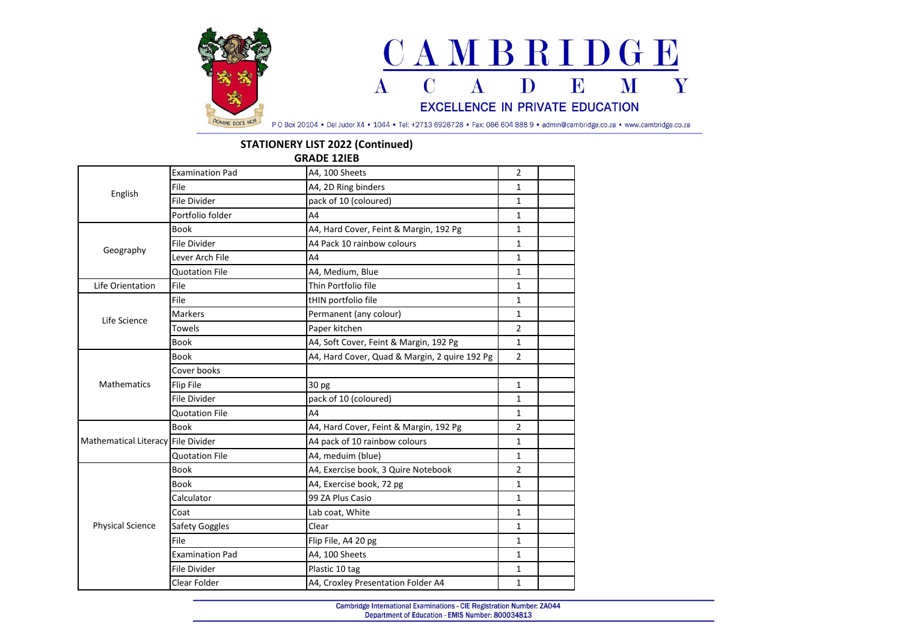

## **STATIONERY LIST 2022 (Continued)**

**GRADE 12IEB**

| English                            | <b>Examination Pad</b> | A4, 100 Sheets                                | $\overline{2}$ |  |
|------------------------------------|------------------------|-----------------------------------------------|----------------|--|
|                                    | File                   | A4, 2D Ring binders                           | 1              |  |
|                                    | <b>File Divider</b>    | pack of 10 (coloured)                         | $\mathbf{1}$   |  |
|                                    | Portfolio folder       | A <sub>4</sub>                                | $\mathbf{1}$   |  |
| Geography                          | <b>Book</b>            | A4, Hard Cover, Feint & Margin, 192 Pg        | $\mathbf{1}$   |  |
|                                    | <b>File Divider</b>    | A4 Pack 10 rainbow colours                    | $\mathbf{1}$   |  |
|                                    | Lever Arch File        | A4                                            | 1              |  |
|                                    | <b>Quotation File</b>  | A4, Medium, Blue                              | $\mathbf{1}$   |  |
| Life Orientation                   | File                   | Thin Portfolio file                           | 1              |  |
| Life Science                       | File                   | tHIN portfolio file                           | $\mathbf{1}$   |  |
|                                    | <b>Markers</b>         | Permanent (any colour)                        | $\mathbf{1}$   |  |
|                                    | Towels                 | Paper kitchen                                 | $\overline{2}$ |  |
|                                    | <b>Book</b>            | A4, Soft Cover, Feint & Margin, 192 Pg        | $\mathbf{1}$   |  |
|                                    | <b>Book</b>            | A4, Hard Cover, Quad & Margin, 2 quire 192 Pg | $\overline{2}$ |  |
|                                    | Cover books            |                                               |                |  |
| <b>Mathematics</b>                 | <b>Flip File</b>       | 30 pg                                         | $\mathbf{1}$   |  |
|                                    | <b>File Divider</b>    | pack of 10 (coloured)                         | $\mathbf{1}$   |  |
|                                    | <b>Quotation File</b>  | A4                                            | 1              |  |
| Mathematical Literacy File Divider | <b>Book</b>            | A4, Hard Cover, Feint & Margin, 192 Pg        | $\overline{2}$ |  |
|                                    |                        | A4 pack of 10 rainbow colours                 | $\mathbf{1}$   |  |
|                                    | <b>Quotation File</b>  | A4, meduim (blue)                             | $\mathbf{1}$   |  |
| <b>Physical Science</b>            | <b>Book</b>            | A4, Exercise book, 3 Quire Notebook           | $\overline{2}$ |  |
|                                    | <b>Book</b>            | A4, Exercise book, 72 pg                      | $\mathbf{1}$   |  |
|                                    | Calculator             | 99 ZA Plus Casio                              | 1              |  |
|                                    | Coat                   | Lab coat, White                               | $\mathbf{1}$   |  |
|                                    | <b>Safety Goggles</b>  | Clear                                         | 1              |  |
|                                    | File                   | Flip File, A4 20 pg                           | $\mathbf{1}$   |  |
|                                    | <b>Examination Pad</b> | A4, 100 Sheets                                | $\mathbf{1}$   |  |
|                                    | <b>File Divider</b>    | Plastic 10 tag                                | $\mathbf{1}$   |  |
|                                    | Clear Folder           | A4, Croxley Presentation Folder A4            | $\mathbf{1}$   |  |